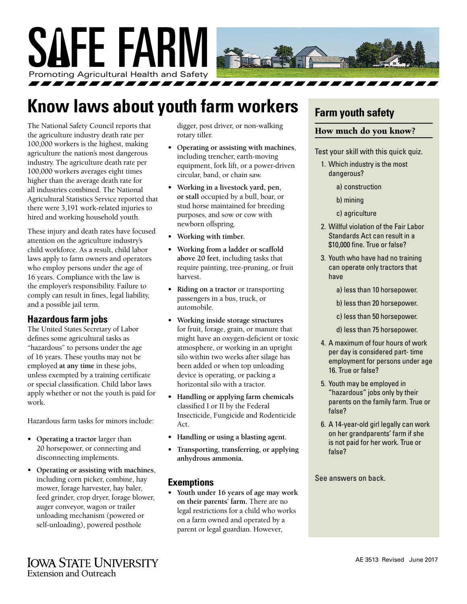

## **Know laws about youth farm workers**

The National Safety Council reports that the agriculture industry death rate per 100,000 workers is the highest, making agriculture the nation's most dangerous industry. The agriculture death rate per 100,000 workers averages eight times higher than the average death rate for all industries combined. The National Agricultural Statistics Service reported that there were 3,191 work-related injuries to hired and working household youth.

These injury and death rates have focused attention on the agriculture industry's child workforce. As a result, child labor laws apply to farm owners and operators who employ persons under the age of 16 years. Compliance with the law is the employer's responsibility. Failure to comply can result in fines, legal liability, and a possible jail term.

#### **Hazardous farm jobs**

The United States Secretary of Labor defines some agricultural tasks as "hazardous" to persons under the age of 16 years. These youths may not be employed **at any time** in these jobs, unless exempted by a training certificate or special classification. Child labor laws apply whether or not the youth is paid for work.

Hazardous farm tasks for minors include:

- **• Operating a tractor** larger than 20 horsepower, or connecting and disconnecting implements.
- **• Operating or assisting with machines**, including corn picker, combine, hay mower, forage harvester, hay baler, feed grinder, crop dryer, forage blower, auger conveyor, wagon or trailer unloading mechanism (powered or self-unloading), powered posthole

digger, post driver, or non-walking rotary tiller.

- **• Operating or assisting with machines**, including trencher, earth-moving equipment, fork lift, or a power-driven circular, band, or chain saw.
- **• Working in a livestock yard, pen, or stall** occupied by a bull, boar, or stud horse maintained for breeding purposes, and sow or cow with newborn offspring.
- **• Working with timber.**
- **• Working from a ladder or scaffold above 20 feet**, including tasks that require painting, tree-pruning, or fruit harvest.
- **• Riding on a tractor** or transporting passengers in a bus, truck, or automobile.
- **• Working inside storage structures** for fruit, forage, grain, or manure that might have an oxygen-deficient or toxic atmosphere, or working in an upright silo within two weeks after silage has been added or when top unloading device is operating, or packing a horizontal silo with a tractor.
- **• Handling or applying farm chemicals** classified I or II by the Federal Insecticide, Fungicide and Rodenticide Act.
- **• Handling or using a blasting agent.**
- **• Transporting, transferring, or applying anhydrous ammonia.**

#### **Exemptions**

**• Youth under 16 years of age may work on their parents' farm.** There are no legal restrictions for a child who works on a farm owned and operated by a parent or legal guardian. However,

## **Farm youth safety**

#### How much do you know?

Test your skill with this quick quiz.

- 1. Which industry is the most dangerous?
	- a) construction
	- b) mining
	- c) agriculture
- 2. Willful violation of the Fair Labor Standards Act can result in a \$10,000 fine. True or false?
- 3. Youth who have had no training can operate only tractors that have
	- a) less than 10 horsepower.
	- b) less than 20 horsepower.
	- c) less than 50 horsepower.
	- d) less than 75 horsepower.
- 4. A maximum of four hours of work per day is considered part- time employment for persons under age 16. True or false?
- 5. Youth may be employed in "hazardous" jobs only by their parents on the family farm. True or false?
- 6. A 14-year-old girl legally can work on her grandparents' farm if she is not paid for her work. True or false?

See answers on back.